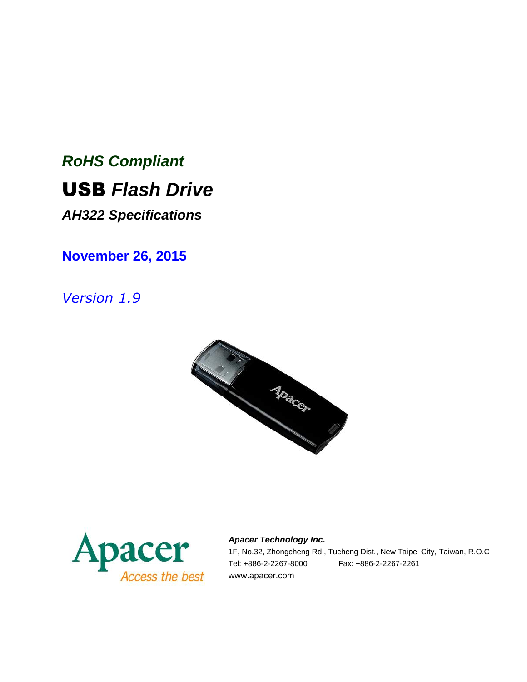# *RoHS Compliant* USB *Flash Drive*

*AH322 Specifications*

**November 26, 2015**

*Version 1.9*





*Apacer Technology Inc.* 1F, No.32, Zhongcheng Rd., Tucheng Dist., New Taipei City, Taiwan, R.O.C Tel: +886-2-2267-8000 Fax: +886-2-2267-2261 www.apacer.com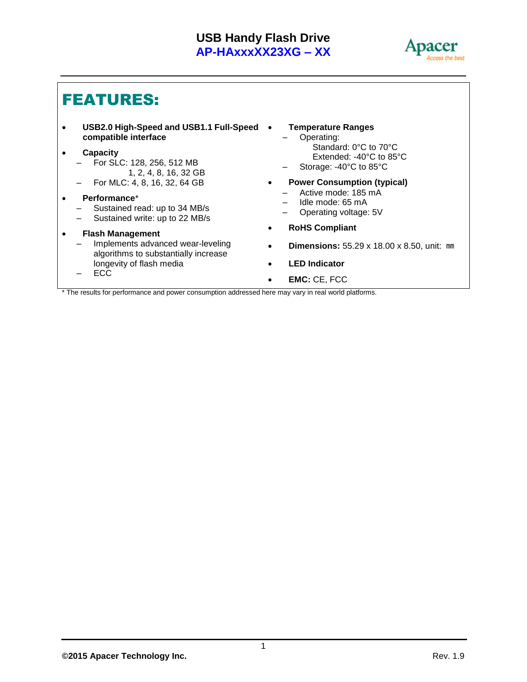

### FEATURES:

 **USB2.0 High-Speed and USB1.1 Full-Speed compatible interface**

#### **Capacity**

- For SLC: 128, 256, 512 MB 1, 2, 4, 8, 16, 32 GB
- For MLC: 4, 8, 16, 32, 64 GB
- **Performance**\*
	- Sustained read: up to 34 MB/s
	- Sustained write: up to 22 MB/s
- **Flash Management**
	- Implements advanced wear-leveling algorithms to substantially increase longevity of flash media
	- ECC

#### **Temperature Ranges**

- Operating: Standard: 0°C to 70°C Extended: -40°C to 85°C
- Storage: -40°C to 85°C
- **Power Consumption (typical)**
	- Active mode: 185 mA
	- Idle mode: 65 mA
	- Operating voltage: 5V
- **RoHS Compliant**
- **Dimensions:** 55.29 x 18.00 x 8.50, unit: ㎜
- **LED Indicator**
- **EMC:** CE, FCC

\* The results for performance and power consumption addressed here may vary in real world platforms.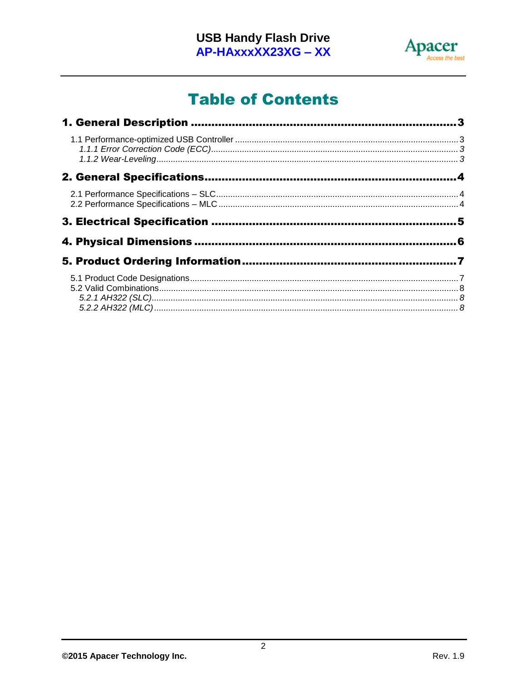

# **Table of Contents**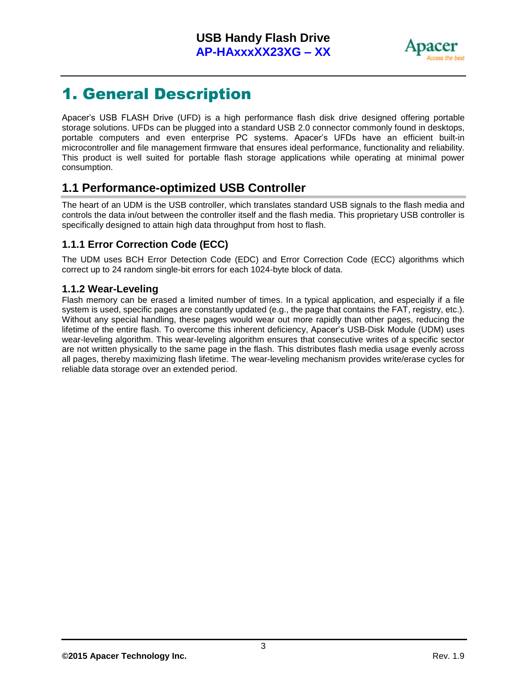

### <span id="page-3-0"></span>1. General Description

Apacer's USB FLASH Drive (UFD) is a high performance flash disk drive designed offering portable storage solutions. UFDs can be plugged into a standard USB 2.0 connector commonly found in desktops, portable computers and even enterprise PC systems. Apacer's UFDs have an efficient built-in microcontroller and file management firmware that ensures ideal performance, functionality and reliability. This product is well suited for portable flash storage applications while operating at minimal power consumption.

### <span id="page-3-1"></span>**1.1 Performance-optimized USB Controller**

The heart of an UDM is the USB controller, which translates standard USB signals to the flash media and controls the data in/out between the controller itself and the flash media. This proprietary USB controller is specifically designed to attain high data throughput from host to flash.

#### <span id="page-3-2"></span>**1.1.1 Error Correction Code (ECC)**

The UDM uses BCH Error Detection Code (EDC) and Error Correction Code (ECC) algorithms which correct up to 24 random single-bit errors for each 1024-byte block of data.

#### <span id="page-3-3"></span>**1.1.2 Wear-Leveling**

Flash memory can be erased a limited number of times. In a typical application, and especially if a file system is used, specific pages are constantly updated (e.g., the page that contains the FAT, registry, etc.). Without any special handling, these pages would wear out more rapidly than other pages, reducing the lifetime of the entire flash. To overcome this inherent deficiency, Apacer's USB-Disk Module (UDM) uses wear-leveling algorithm. This wear-leveling algorithm ensures that consecutive writes of a specific sector are not written physically to the same page in the flash. This distributes flash media usage evenly across all pages, thereby maximizing flash lifetime. The wear-leveling mechanism provides write/erase cycles for reliable data storage over an extended period.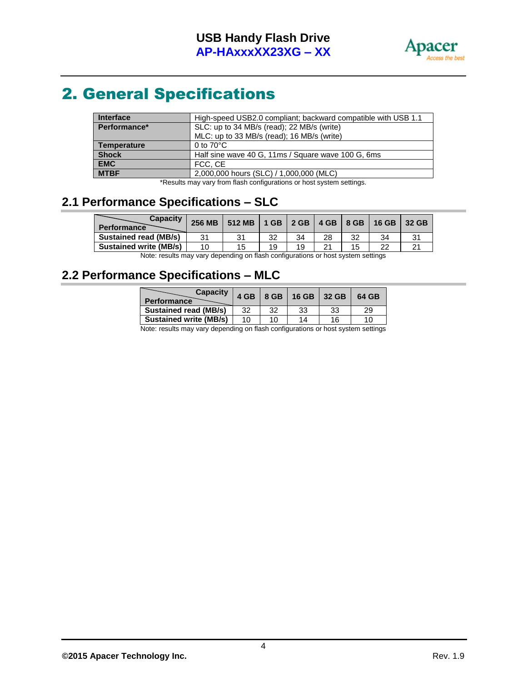

# <span id="page-4-0"></span>2. General Specifications

| Interface          | High-speed USB2.0 compliant; backward compatible with USB 1.1 |  |
|--------------------|---------------------------------------------------------------|--|
| Performance*       | SLC: up to 34 MB/s (read); 22 MB/s (write)                    |  |
|                    | MLC: up to 33 MB/s (read); 16 MB/s (write)                    |  |
| <b>Temperature</b> | 0 to $70^{\circ}$ C                                           |  |
| <b>Shock</b>       | Half sine wave 40 G, 11ms / Square wave 100 G, 6ms            |  |
| <b>EMC</b>         | FCC, CE                                                       |  |
| <b>MTBF</b>        | 2,000,000 hours (SLC) / 1,000,000 (MLC)                       |  |

\*Results may vary from flash configurations or host system settings.

#### <span id="page-4-1"></span>**2.1 Performance Specifications – SLC**

| <b>Capacity</b><br><b>Performance</b> | <b>256 MB</b> | 512 MB   1 GB   2 GB   4 GB   8 GB   16 GB |    |     |    |    | 32 GB |
|---------------------------------------|---------------|--------------------------------------------|----|-----|----|----|-------|
| <b>Sustained read (MB/s)</b>          | 31            |                                            |    | 34  | 28 |    |       |
| <b>Sustained write (MB/s)</b>         | 10            | 15                                         | 19 | 1 Q |    | つつ |       |
| $\cdots$                              |               |                                            |    |     |    |    |       |

Note: results may vary depending on flash configurations or host system settings

### <span id="page-4-2"></span>**2.2 Performance Specifications – MLC**

| <b>Capacity</b><br><b>Performance</b> | 4 GB |    | 8 GB   16 GB   32 GB |    | 64 GB    |
|---------------------------------------|------|----|----------------------|----|----------|
| <b>Sustained read (MB/s)</b>          | 32   | 32 | 33                   | 33 | 29       |
| <b>Sustained write (MB/s)</b>         | 10   | 10 | 14                   | 16 | 1 $\cap$ |

Note: results may vary depending on flash configurations or host system settings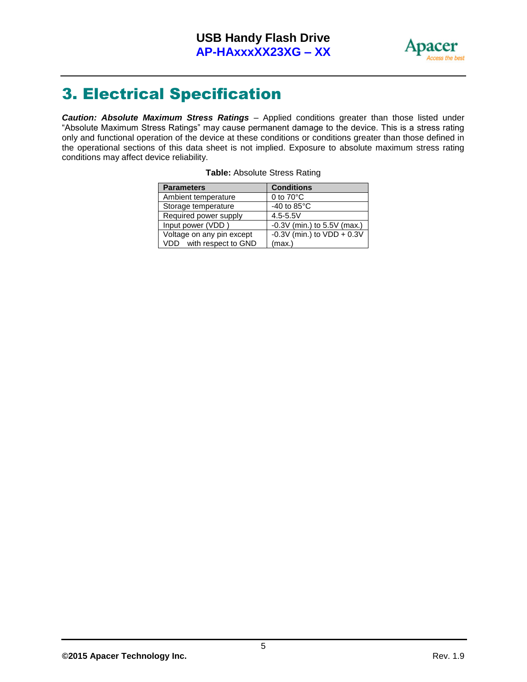

# <span id="page-5-0"></span>3. Electrical Specification

*Caution: Absolute Maximum Stress Ratings* – Applied conditions greater than those listed under "Absolute Maximum Stress Ratings" may cause permanent damage to the device. This is a stress rating only and functional operation of the device at these conditions or conditions greater than those defined in the operational sections of this data sheet is not implied. Exposure to absolute maximum stress rating conditions may affect device reliability.

| <b>Parameters</b>         | <b>Conditions</b>             |
|---------------------------|-------------------------------|
| Ambient temperature       | 0 to $70^{\circ}$ C           |
| Storage temperature       | -40 to $85^{\circ}$ C         |
| Required power supply     | $4.5 - 5.5V$                  |
| Input power (VDD)         | $-0.3V$ (min.) to 5.5V (max.) |
| Voltage on any pin except | -0.3V (min.) to $VDD + 0.3V$  |
| VDD with respect to GND   | (max.)                        |

| Table: Absolute Stress Rating |  |
|-------------------------------|--|
|                               |  |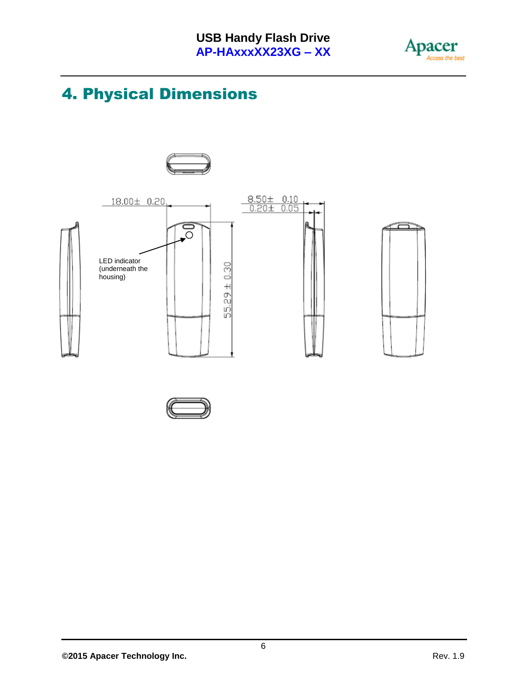

# <span id="page-6-0"></span>4. Physical Dimensions



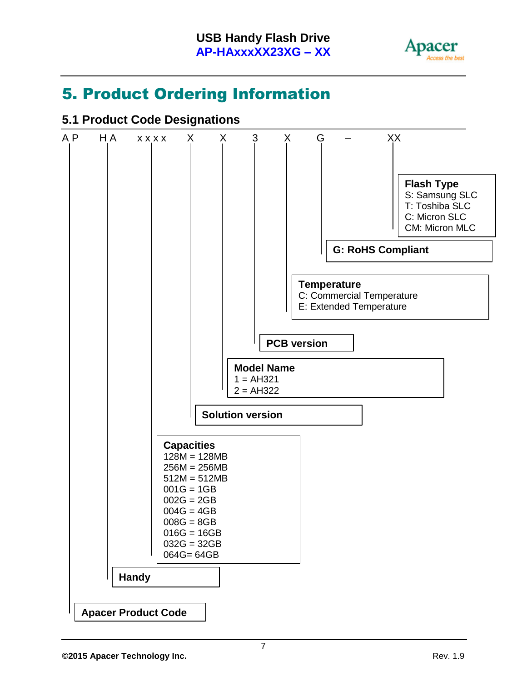

# <span id="page-7-0"></span>5. Product Ordering Information

### <span id="page-7-1"></span>**5.1 Product Code Designations**

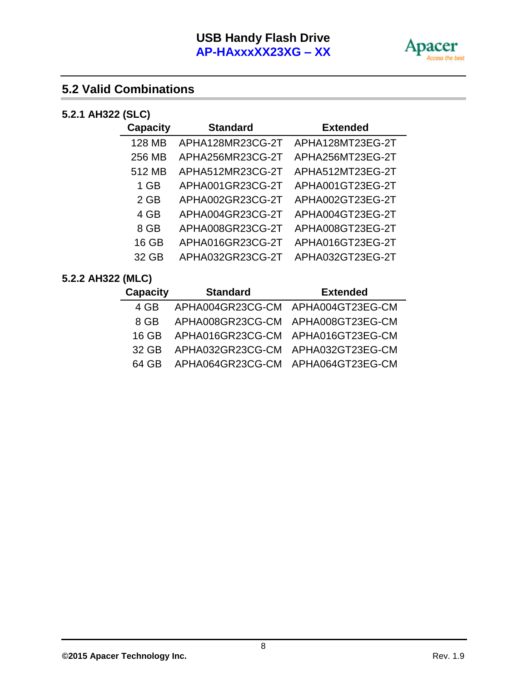

### <span id="page-8-0"></span>**5.2 Valid Combinations**

#### <span id="page-8-1"></span>**5.2.1 AH322 (SLC)**

| <b>Capacity</b> | <b>Standard</b>  | <b>Extended</b>  |
|-----------------|------------------|------------------|
| 128 MB          | APHA128MR23CG-2T | APHA128MT23EG-2T |
| 256 MB          | APHA256MR23CG-2T | APHA256MT23EG-2T |
| 512 MB          | APHA512MR23CG-2T | APHA512MT23EG-2T |
| 1 GB            | APHA001GR23CG-2T | APHA001GT23EG-2T |
| $2$ GB          | APHA002GR23CG-2T | APHA002GT23EG-2T |
| 4 GB            | APHA004GR23CG-2T | APHA004GT23EG-2T |
| 8 GB            | APHA008GR23CG-2T | APHA008GT23EG-2T |
| 16 GB           | APHA016GR23CG-2T | APHA016GT23EG-2T |
| 32 GB           | APHA032GR23CG-2T | APHA032GT23EG-2T |

#### <span id="page-8-2"></span>**5.2.2 AH322 (MLC)**

| Capacity | <b>Standard</b>                         | <b>Extended</b> |
|----------|-----------------------------------------|-----------------|
| 4 GB     | APHA004GR23CG-CM APHA004GT23EG-CM       |                 |
| 8 GB     | APHA008GR23CG-CM APHA008GT23EG-CM       |                 |
|          | 16 GB APHA016GR23CG-CM APHA016GT23EG-CM |                 |
|          | 32 GB APHA032GR23CG-CM APHA032GT23EG-CM |                 |
|          | 64 GB APHA064GR23CG-CM APHA064GT23EG-CM |                 |
|          |                                         |                 |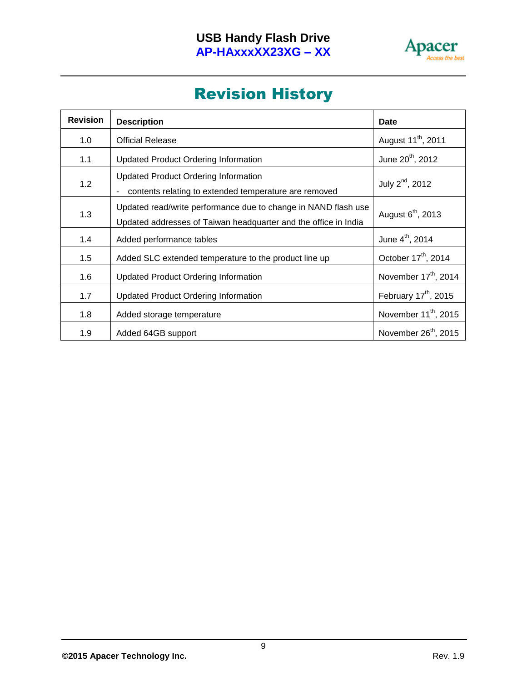

### Revision History

| <b>Revision</b> | <b>Description</b>                                                                                                                | <b>Date</b>                      |
|-----------------|-----------------------------------------------------------------------------------------------------------------------------------|----------------------------------|
| 1.0             | <b>Official Release</b>                                                                                                           | August 11 <sup>th</sup> , 2011   |
| 1.1             | <b>Updated Product Ordering Information</b>                                                                                       | June 20 <sup>th</sup> , 2012     |
| 1.2             | <b>Updated Product Ordering Information</b><br>contents relating to extended temperature are removed                              | July 2 <sup>nd</sup> , 2012      |
| 1.3             | Updated read/write performance due to change in NAND flash use<br>Updated addresses of Taiwan headquarter and the office in India | August 6 <sup>th</sup> , 2013    |
| 1.4             | Added performance tables                                                                                                          | June 4 <sup>th</sup> , 2014      |
| 1.5             | Added SLC extended temperature to the product line up                                                                             | October 17 <sup>th</sup> , 2014  |
| 1.6             | <b>Updated Product Ordering Information</b>                                                                                       | November 17 <sup>th</sup> , 2014 |
| 1.7             | <b>Updated Product Ordering Information</b>                                                                                       | February 17 <sup>th</sup> , 2015 |
| 1.8             | Added storage temperature                                                                                                         | November 11 <sup>th</sup> , 2015 |
| 1.9             | Added 64GB support                                                                                                                | November 26 <sup>th</sup> , 2015 |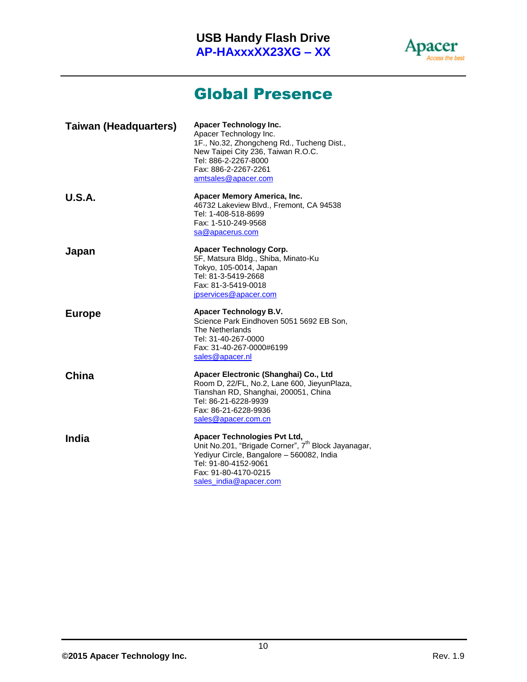

### Global Presence

| <b>Taiwan (Headquarters)</b> | <b>Apacer Technology Inc.</b><br>Apacer Technology Inc.<br>1F., No.32, Zhongcheng Rd., Tucheng Dist.,<br>New Taipei City 236, Taiwan R.O.C.<br>Tel: 886-2-2267-8000<br>Fax: 886-2-2267-2261<br>amtsales@apacer.com            |
|------------------------------|-------------------------------------------------------------------------------------------------------------------------------------------------------------------------------------------------------------------------------|
| U.S.A.                       | Apacer Memory America, Inc.<br>46732 Lakeview Blvd., Fremont, CA 94538<br>Tel: 1-408-518-8699<br>Fax: 1-510-249-9568<br>sa@apacerus.com                                                                                       |
| Japan                        | <b>Apacer Technology Corp.</b><br>5F, Matsura Bldg., Shiba, Minato-Ku<br>Tokyo, 105-0014, Japan<br>Tel: 81-3-5419-2668<br>Fax: 81-3-5419-0018<br>jpservices@apacer.com                                                        |
| <b>Europe</b>                | Apacer Technology B.V.<br>Science Park Eindhoven 5051 5692 EB Son,<br>The Netherlands<br>Tel: 31-40-267-0000<br>Fax: 31-40-267-0000#6199<br>sales@apacer.nl                                                                   |
| China                        | Apacer Electronic (Shanghai) Co., Ltd<br>Room D, 22/FL, No.2, Lane 600, JieyunPlaza,<br>Tianshan RD, Shanghai, 200051, China<br>Tel: 86-21-6228-9939<br>Fax: 86-21-6228-9936<br>sales@apacer.com.cn                           |
| India                        | <b>Apacer Technologies Pvt Ltd,</b><br>Unit No.201, "Brigade Corner", 7 <sup>th</sup> Block Jayanagar,<br>Yediyur Circle, Bangalore - 560082, India<br>Tel: 91-80-4152-9061<br>Fax: 91-80-4170-0215<br>sales_india@apacer.com |